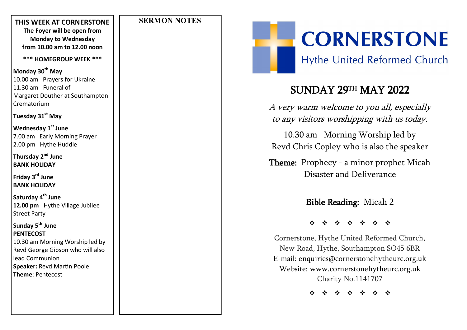#### **SERMON NOTES**

**THIS WEEK AT CORNERSTONE The Foyer will be open from Monday to Wednesday from 10.00 am to 12.00 noon**

**\*\*\* HOMEGROUP WEEK \*\*\***

**Monday 30th May** 10.00 am Prayers for Ukraine 11.30 am Funeral of Margaret Douther at Southampton Crematorium

#### **Tuesday 31st May**

**Wednesday 1st June** 7.00 am Early Morning Prayer 2.00 pm Hythe Huddle

**Thursday 2nd June BANK HOLIDAY**

**Friday 3rd June BANK HOLIDAY**

**Saturday 4th June 12.00 pm** Hythe Village Jubilee Street Party

**Sunday 5th June PENTECOST** 10.30 am Morning Worship led by Revd George Gibson who will also lead Communion **Speaker:** Revd Martin Poole **Theme**: Pentecost

**CORNERSTONE** 

**Hythe United Reformed Church** 

# SUNDAY 29TH MAY 2022

A very warm welcome to you all, especially to any visitors worshipping with us today.

10.30 am Morning Worship led by Revd Chris Copley who is also the speaker

**Theme:** Prophecy - a minor prophet Micah Disaster and Deliverance

Bible Reading: Micah 2

\* \* \* \*

Cornerstone, Hythe United Reformed Church, New Road, Hythe, Southampton SO45 6BR E -mail: enquiries@cornerstonehytheurc.org.uk Website: www.cornerstonehytheurc.org.uk Charity No.1141707

\* \* \* \* \* \* \*